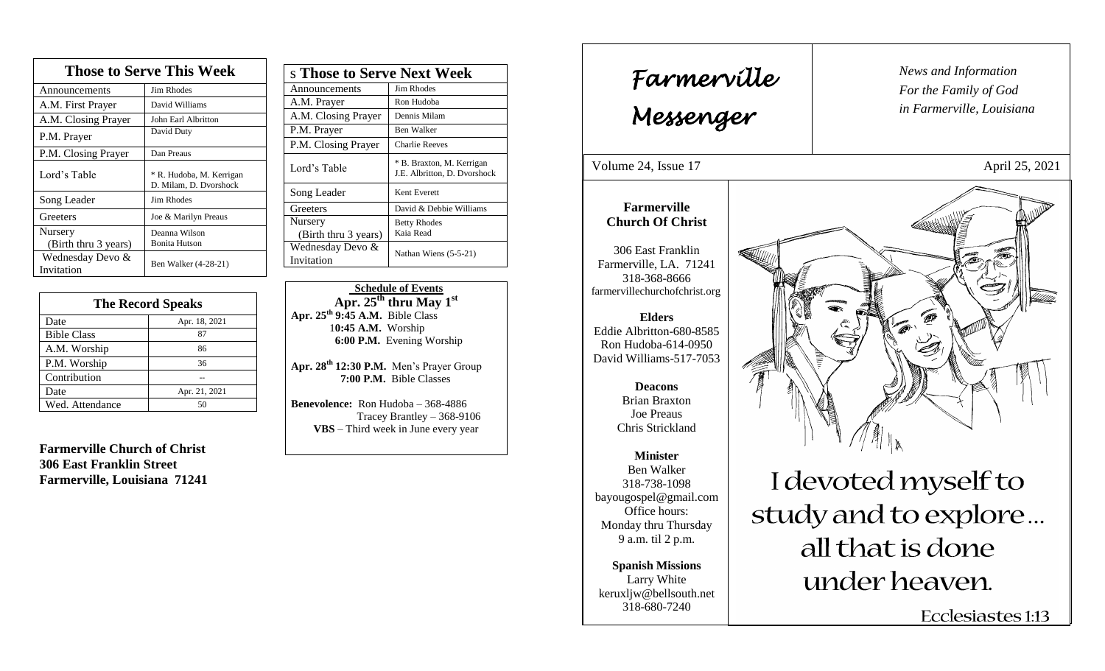| <b>Those to Serve This Week</b> |                                                    |  |
|---------------------------------|----------------------------------------------------|--|
| Announcements                   | <b>Jim Rhodes</b>                                  |  |
| A.M. First Prayer               | David Williams                                     |  |
| A.M. Closing Prayer             | John Earl Albritton                                |  |
| P.M. Prayer                     | David Duty                                         |  |
| P.M. Closing Prayer             | Dan Preaus                                         |  |
| Lord's Table                    | * R. Hudoba, M. Kerrigan<br>D. Milam, D. Dvorshock |  |
| Song Leader                     | Jim Rhodes                                         |  |
| Greeters                        | Joe & Marilyn Preaus                               |  |
| Nursery                         | Deanna Wilson                                      |  |
| (Birth thru 3 years)            | <b>Bonita Hutson</b>                               |  |
| Wednesday Devo &<br>Invitation  | Ben Walker (4-28-21)                               |  |

| <b>The Record Speaks</b> |               |
|--------------------------|---------------|
| Date                     | Apr. 18, 2021 |
| <b>Bible Class</b>       | 87            |
| A.M. Worship             | 86            |
| P.M. Worship             | 36            |
| Contribution             |               |
| Date                     | Apr. 21, 2021 |
| Wed. Attendance          | 50            |

**Farmerville Church of Christ 306 East Franklin Street Farmerville, Louisiana 71241**

| s Those to Serve Next Week      |                                                           |
|---------------------------------|-----------------------------------------------------------|
| Announcements                   | Jim Rhodes                                                |
| A.M. Prayer                     | Ron Hudoba                                                |
| A.M. Closing Prayer             | Dennis Milam                                              |
| P.M. Prayer                     | Ben Walker                                                |
| P.M. Closing Prayer             | <b>Charlie Reeves</b>                                     |
| Lord's Table                    | * B. Braxton, M. Kerrigan<br>J.E. Albritton, D. Dvorshock |
| Song Leader                     | Kent Everett                                              |
| Greeters                        | David & Debbie Williams                                   |
| Nursery<br>(Birth thru 3 years) | <b>Betty Rhodes</b><br>Kaia Read                          |
| Wednesday Devo &<br>Invitation  | Nathan Wiens $(5-5-21)$                                   |

 **Schedule of Events Apr. 25th thru May 1st Apr. 25th 9:45 A.M.** Bible Class 1**0:45 A.M.** Worship  **6:00 P.M.** Evening Worship

**Apr. 28 th 12:30 P.M.** Men's Prayer Group **7:00 P.M.** Bible Classes

**Benevolence:** Ron Hudoba – 368-4886 Tracey Brantley – 368-9106 **VBS** – Third week in June every year

*News and Information* **Farmerville**  $\begin{bmatrix} \text{News an} \\ \text{For the} \end{bmatrix}$ *For the Family of God in Farmerville, Louisiana Messenger*  Volume 24, Issue  $17$  April 25, 2021 , 2015 **Farmerville Church Of Christ** 306 East Franklin Farmerville, LA. 71241 318-368-8666 farmervillechurchofchrist.org **Elders** Eddie Albritton-680-8585 Ron Hudoba-614-0950 David Williams-517-7053 **Deacons**  Brian Braxton Joe Preaus Chris Strickland **Minister** Ben Walker I devoted myself to 318-738-1098 bayougospel@gmail.com study and to explore... Office hours: Monday thru Thursday 9 a.m. til 2 p.m. all that is done **Spanish Missions** under heaven. Larry White keruxljw@bellsouth.net 318-680-7240 Ecclesiastes 1:13